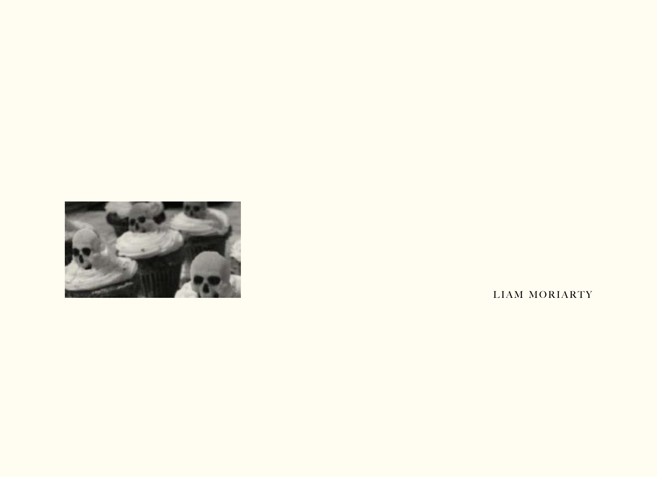

LIAM MORIARTY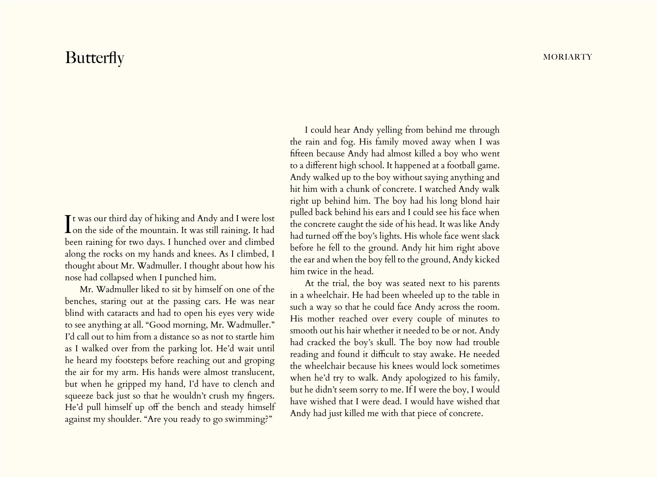## Butterfly MORIARTY

It was our third day of hiking and Andy and I were lost<br>Ion the side of the mountain. It was still raining. It had t was our third day of hiking and Andy and I were lost been raining for two days. I hunched over and climbed along the rocks on my hands and knees. As I climbed, I thought about Mr. Wadmuller. I thought about how his nose had collapsed when I punched him.

Mr. Wadmuller liked to sit by himself on one of the benches, staring out at the passing cars. He was near blind with cataracts and had to open his eyes very wide to see anything at all. "Good morning, Mr. Wadmuller." I'd call out to him from a distance so as not to startle him as I walked over from the parking lot. He'd wait until he heard my footsteps before reaching out and groping the air for my arm. His hands were almost translucent, but when he gripped my hand, I'd have to clench and squeeze back just so that he wouldn't crush my fingers. He'd pull himself up off the bench and steady himself against my shoulder. "Are you ready to go swimming?"

I could hear Andy yelling from behind me through the rain and fog. His family moved away when I was fifteen because Andy had almost killed a boy who went to a different high school. It happened at a football game. Andy walked up to the boy without saying anything and hit him with a chunk of concrete. I watched Andy walk right up behind him. The boy had his long blond hair pulled back behind his ears and I could see his face when the concrete caught the side of his head. It was like Andy had turned off the boy's lights. His whole face went slack before he fell to the ground. Andy hit him right above the ear and when the boy fell to the ground, Andy kicked him twice in the head.

At the trial, the boy was seated next to his parents in a wheelchair. He had been wheeled up to the table in such a way so that he could face Andy across the room. His mother reached over every couple of minutes to smooth out his hair whether it needed to be or not. Andy had cracked the boy's skull. The boy now had trouble reading and found it difficult to stay awake. He needed the wheelchair because his knees would lock sometimes when he'd try to walk. Andy apologized to his family, but he didn't seem sorry to me. If I were the boy, I would have wished that I were dead. I would have wished that Andy had just killed me with that piece of concrete.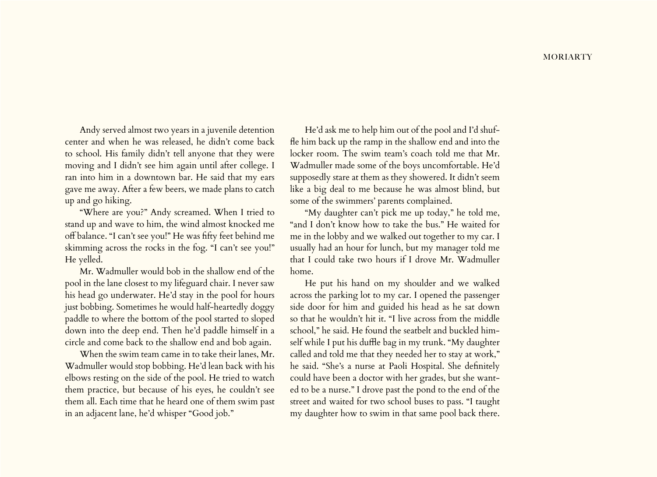Andy served almost two years in a juvenile detention center and when he was released, he didn't come back to school. His family didn't tell anyone that they were moving and I didn't see him again until after college. I ran into him in a downtown bar. He said that my ears gave me away. After a few beers, we made plans to catch up and go hiking.

"Where are you?" Andy screamed. When I tried to stand up and wave to him, the wind almost knocked me off balance. "I can't see you!" He was fifty feet behind me skimming across the rocks in the fog. "I can't see you!" He yelled.

Mr. Wadmuller would bob in the shallow end of the pool in the lane closest to my lifeguard chair. I never saw his head go underwater. He'd stay in the pool for hours just bobbing. Sometimes he would half-heartedly doggy paddle to where the bottom of the pool started to sloped down into the deep end. Then he'd paddle himself in a circle and come back to the shallow end and bob again.

When the swim team came in to take their lanes, Mr. Wadmuller would stop bobbing. He'd lean back with his elbows resting on the side of the pool. He tried to watch them practice, but because of his eyes, he couldn't see them all. Each time that he heard one of them swim past in an adjacent lane, he'd whisper "Good job."

He'd ask me to help him out of the pool and I'd shuffle him back up the ramp in the shallow end and into the locker room. The swim team's coach told me that Mr. Wadmuller made some of the boys uncomfortable. He'd supposedly stare at them as they showered. It didn't seem like a big deal to me because he was almost blind, but some of the swimmers' parents complained.

"My daughter can't pick me up today," he told me, "and I don't know how to take the bus." He waited for me in the lobby and we walked out together to my car. I usually had an hour for lunch, but my manager told me that I could take two hours if I drove Mr. Wadmuller home.

He put his hand on my shoulder and we walked across the parking lot to my car. I opened the passenger side door for him and guided his head as he sat down so that he wouldn't hit it. "I live across from the middle school," he said. He found the seatbelt and buckled himself while I put his duffle bag in my trunk. "My daughter called and told me that they needed her to stay at work," he said. "She's a nurse at Paoli Hospital. She definitely could have been a doctor with her grades, but she wanted to be a nurse." I drove past the pond to the end of the street and waited for two school buses to pass. "I taught my daughter how to swim in that same pool back there.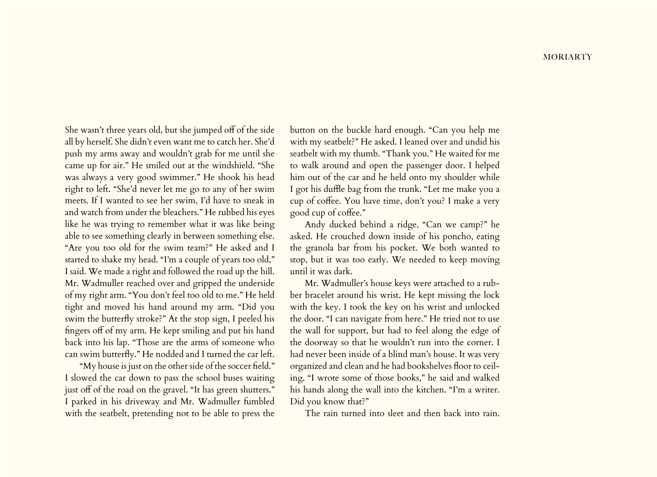She wasn't three years old, but she jumped off of the side all by herself. She didn't even want me to catch her. She'd push my arms away and wouldn't grab for me until she came up for air." He smiled out at the windshield. "She was always a very good swimmer." He shook his head right to left. "She'd never let me go to any of her swim meets. If I wanted to see her swim, I'd have to sneak in and watch from under the bleachers." He rubbed his eyes like he was trying to remember what it was like being able to see something clearly in between something else. "Are you too old for the swim team?" He asked and I started to shake my head. "I'm a couple of years too old," I said. We made a right and followed the road up the hill. Mr. Wadmuller reached over and gripped the underside of my right arm. "You don't feel too old to me." He held tight and moved his hand around my arm. "Did you swim the butterfly stroke?" At the stop sign, I peeled his fingers off of my arm. He kept smiling and put his hand back into his lap. "Those are the arms of someone who can swim butterfly." He nodded and I turned the car left.

"My house is just on the other side of the soccer field." I slowed the car down to pass the school buses waiting just off of the road on the gravel. "It has green shutters." I parked in his driveway and Mr. Wadmuller fumbled with the seatbelt, pretending not to be able to press the

button on the buckle hard enough. "Can you help me with my seatbelt?" He asked. I leaned over and undid his seatbelt with my thumb. "Thank you." He waited for me to walk around and open the passenger door. I helped him out of the car and he held onto my shoulder while I got his duffle bag from the trunk. "Let me make you a cup of coffee. You have time, don't you? I make a very good cup of coffee."

Andy ducked behind a ridge. "Can we camp?" he asked. He crouched down inside of his poncho, eating the granola bar from his pocket. We both wanted to stop, but it was too early. We needed to keep moving until it was dark.

Mr. Wadmuller's house keys were attached to a rubber bracelet around his wrist. He kept missing the lock with the key. I took the key on his wrist and unlocked the door. "I can navigate from here." He tried not to use the wall for support, but had to feel along the edge of the doorway so that he wouldn't run into the corner. I had never been inside of a blind man's house. It was very organized and clean and he had bookshelves floor to ceiling. "I wrote some of those books," he said and walked his hands along the wall into the kitchen. "I'm a writer. Did you know that?"

The rain turned into sleet and then back into rain.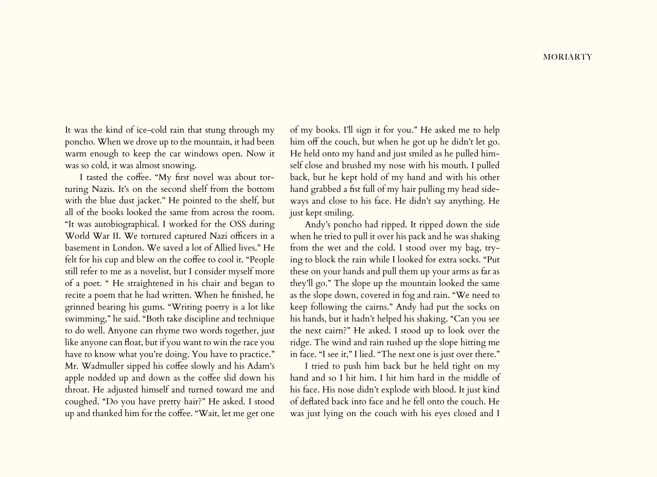It was the kind of ice-cold rain that stung through my poncho. When we drove up to the mountain, it had been warm enough to keep the car windows open. Now it was so cold, it was almost snowing.

I tasted the coffee. "My first novel was about torturing Nazis. It's on the second shelf from the bottom with the blue dust jacket." He pointed to the shelf, but all of the books looked the same from across the room. "It was autobiographical. I worked for the OSS during World War II. We tortured captured Nazi officers in a basement in London. We saved a lot of Allied lives." He felt for his cup and blew on the coffee to cool it. "People still refer to me as a novelist, but I consider myself more of a poet. " He straightened in his chair and began to recite a poem that he had written. When he finished, he grinned bearing his gums. "Writing poetry is a lot like swimming," he said. "Both take discipline and technique to do well. Anyone can rhyme two words together, just like anyone can float, but if you want to win the race you have to know what you're doing. You have to practice." Mr. Wadmuller sipped his coffee slowly and his Adam's apple nodded up and down as the coffee slid down his throat. He adjusted himself and turned toward me and coughed. "Do you have pretty hair?" He asked. I stood up and thanked him for the coffee. "Wait, let me get one

of my books. I'll sign it for you." He asked me to help him off the couch, but when he got up he didn't let go. He held onto my hand and just smiled as he pulled himself close and brushed my nose with his mouth. I pulled back, but he kept hold of my hand and with his other hand grabbed a fist full of my hair pulling my head sideways and close to his face. He didn't say anything. He just kept smiling.

Andy's poncho had ripped. It ripped down the side when he tried to pull it over his pack and he was shaking from the wet and the cold. I stood over my bag, trying to block the rain while I looked for extra socks. "Put these on your hands and pull them up your arms as far as they'll go." The slope up the mountain looked the same as the slope down, covered in fog and rain. "We need to keep following the cairns." Andy had put the socks on his hands, but it hadn't helped his shaking. "Can you see the next cairn?" He asked. I stood up to look over the ridge. The wind and rain rushed up the slope hitting me in face. "I see it," I lied. "The next one is just over there."

I tried to push him back but he held tight on my hand and so I hit him. I hit him hard in the middle of his face. His nose didn't explode with blood. It just kind of deflated back into face and he fell onto the couch. He was just lying on the couch with his eyes closed and I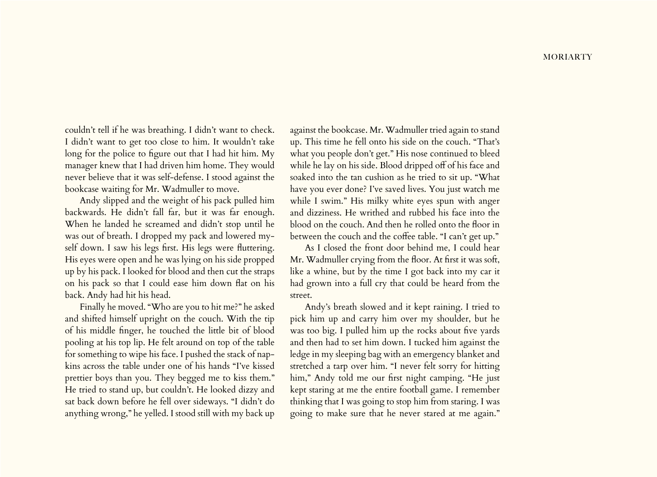couldn't tell if he was breathing. I didn't want to check. I didn't want to get too close to him. It wouldn't take long for the police to figure out that I had hit him. My manager knew that I had driven him home. They would never believe that it was self-defense. I stood against the bookcase waiting for Mr. Wadmuller to move.

Andy slipped and the weight of his pack pulled him backwards. He didn't fall far, but it was far enough. When he landed he screamed and didn't stop until he was out of breath. I dropped my pack and lowered myself down. I saw his legs first. His legs were fluttering. His eyes were open and he was lying on his side propped up by his pack. I looked for blood and then cut the straps on his pack so that I could ease him down flat on his back. Andy had hit his head.

Finally he moved. "Who are you to hit me?" he asked and shifted himself upright on the couch. With the tip of his middle finger, he touched the little bit of blood pooling at his top lip. He felt around on top of the table for something to wipe his face. I pushed the stack of napkins across the table under one of his hands "I've kissed prettier boys than you. They begged me to kiss them." He tried to stand up, but couldn't. He looked dizzy and sat back down before he fell over sideways. "I didn't do anything wrong," he yelled. I stood still with my back up

against the bookcase. Mr. Wadmuller tried again to stand up. This time he fell onto his side on the couch. "That's what you people don't get." His nose continued to bleed while he lay on his side. Blood dripped off of his face and soaked into the tan cushion as he tried to sit up. "What have you ever done? I've saved lives. You just watch me while I swim." His milky white eyes spun with anger and dizziness. He writhed and rubbed his face into the blood on the couch. And then he rolled onto the floor in between the couch and the coffee table. "I can't get up."

As I closed the front door behind me, I could hear Mr. Wadmuller crying from the floor. At first it was soft, like a whine, but by the time I got back into my car it had grown into a full cry that could be heard from the street.

Andy's breath slowed and it kept raining. I tried to pick him up and carry him over my shoulder, but he was too big. I pulled him up the rocks about five yards and then had to set him down. I tucked him against the ledge in my sleeping bag with an emergency blanket and stretched a tarp over him. "I never felt sorry for hitting him," Andy told me our first night camping. "He just kept staring at me the entire football game. I remember thinking that I was going to stop him from staring. I was going to make sure that he never stared at me again."